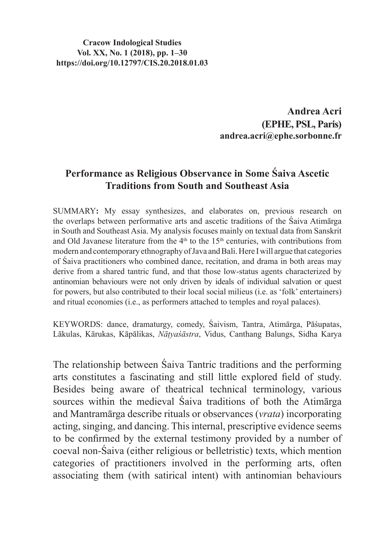**Cracow Indological Studies Vol. XX, No. 1 (2018), pp. 1–30 https://doi.org/10.12797/CIS.20.2018.01.03**

> **Andrea Acri (EPHE, PSL, Paris) andrea.acri@ephe.sorbonne.fr**

# **Performance as Religious Observance in Some Śaiva Ascetic Traditions from South and Southeast Asia**

SUMMARY**:** My essay synthesizes, and elaborates on, previous research on the overlaps between performative arts and ascetic traditions of the Śaiva Atimārga in South and Southeast Asia. My analysis focuses mainly on textual data from Sanskrit and Old Javanese literature from the  $4<sup>th</sup>$  to the 15<sup>th</sup> centuries, with contributions from modern and contemporary ethnography of Java and Bali. Here I will argue that categories of Śaiva practitioners who combined dance, recitation, and drama in both areas may derive from a shared tantric fund, and that those low-status agents characterized by antinomian behaviours were not only driven by ideals of individual salvation or quest for powers, but also contributed to their local social milieus (i.e. as 'folk' entertainers) and ritual economies (i.e., as performers attached to temples and royal palaces).

KEYWORDS: dance, dramaturgy, comedy, Śaivism, Tantra, Atimārga, Pāśupatas, Lākulas, Kārukas, Kāpālikas, *Nāṭyaśāstra*, Vidus, Canthang Balungs, Sidha Karya

The relationship between Śaiva Tantric traditions and the performing arts constitutes a fascinating and still little explored field of study. Besides being aware of theatrical technical terminology, various sources within the medieval Śaiva traditions of both the Atimārga and Mantramārga describe rituals or observances (*vrata*) incorporating acting, singing, and dancing. This internal, prescriptive evidence seems to be confirmed by the external testimony provided by a number of coeval non-Śaiva (either religious or belletristic) texts, which mention categories of practitioners involved in the performing arts, often associating them (with satirical intent) with antinomian behaviours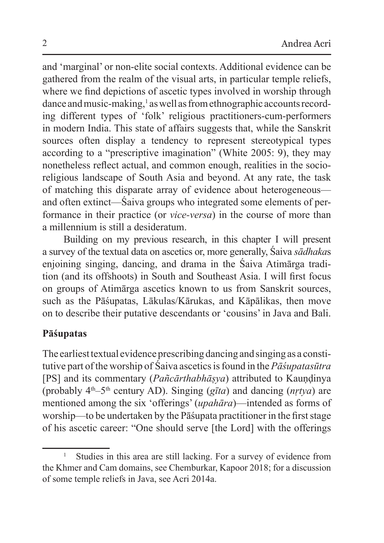and 'marginal' or non-elite social contexts. Additional evidence can be gathered from the realm of the visual arts, in particular temple reliefs, where we find depictions of ascetic types involved in worship through dance and music-making,<sup>1</sup> as well as from ethnographic accounts recording different types of 'folk' religious practitioners-cum-performers in modern India. This state of affairs suggests that, while the Sanskrit sources often display a tendency to represent stereotypical types according to a "prescriptive imagination" (White 2005: 9), they may nonetheless reflect actual, and common enough, realities in the socioreligious landscape of South Asia and beyond. At any rate, the task of matching this disparate array of evidence about heterogeneous and often extinct—Śaiva groups who integrated some elements of performance in their practice (or *vice-versa*) in the course of more than a millennium is still a desideratum.

Building on my previous research, in this chapter I will present a survey of the textual data on ascetics or, more generally, Śaiva *sādhaka*s enjoining singing, dancing, and drama in the Śaiva Atimārga tradition (and its offshoots) in South and Southeast Asia. I will first focus on groups of Atimārga ascetics known to us from Sanskrit sources, such as the Pāśupatas, Lākulas/Kārukas, and Kāpālikas, then move on to describe their putative descendants or 'cousins' in Java and Bali.

## **Pāśupatas**

The earliest textual evidence prescribing dancing and singing as a constitutive part of the worship of Śaiva ascetics isfound in the *Pāśupatasūtra* [PS] and its commentary (*Pañcārthabhāṣya*) attributed to Kauṇḍinya (probably 4th–5th century AD). Singing (*gīta*) and dancing (*nṛtya*) are mentioned among the six 'offerings' (*upahāra*)—intended as forms of worship—to be undertaken by the Pāśupata practitioner in the first stage of his ascetic career: "One should serve [the Lord] with the offerings

Studies in this area are still lacking. For a survey of evidence from the Khmer and Cam domains, see Chemburkar, Kapoor 2018; for a discussion of some temple reliefs in Java, see Acri 2014a.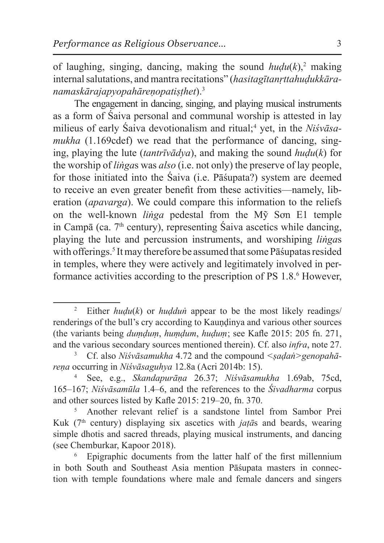of laughing, singing, dancing, making the sound  $hudu(k)$ <sup>2</sup> making internal salutations, and mantra recitations" (*hasitagītanṛttahuḍukkāranamaskārajapyopahāreṇopatiṣṭhet*).<sup>3</sup>

The engagement in dancing, singing, and playing musical instruments as a form of Śaiva personal and communal worship is attested in lay milieus of early Śaiva devotionalism and ritual; 4 yet, in the *Niśvāsamukha* (1.169cdef) we read that the performance of dancing, singing, playing the lute (*tantrīvādya*), and making the sound *huḍu*(*k*) for the worship of *liṅga*s was *also* (i.e. not only) the preserve of lay people, for those initiated into the Śaiva (i.e. Pāśupata?) system are deemed to receive an even greater benefit from these activities—namely, liberation (*apavarga*). We could compare this information to the reliefs on the well-known *liṅga* pedestal from the Mỹ Sơn E1 temple in Campā (ca.  $7<sup>th</sup>$  century), representing Śaiva ascetics while dancing, playing the lute and percussion instruments, and worshiping *liṅga*s with offerings.<sup>5</sup> It may therefore be assumed that some Pāśupatas resided in temples, where they were actively and legitimately involved in performance activities according to the prescription of PS 1.8.<sup>6</sup> However,

<sup>2</sup> Either *huḍu*(*k*) or *huḍduṅ* appear to be the most likely readings/ renderings of the bull's cry according to Kaundinya and various other sources (the variants being *duṃḍuṃ*, *huṃḍum*, *huḍuṃ*; see Kafle 2015: 205 fn. 271, and the various secondary sources mentioned therein). Cf. also *infra*, note 27.

<sup>3</sup> Cf. also *Niśvāsamukha* 4.72 and the compound *<ṣaḍaṅ>genopahāreṇa* occurring in *Niśvāsaguhya* 12.8a (Acri 2014b: 15).

<sup>4</sup> See, e.g., *Skandapurāṇa* 26.37; *Niśvāsamukha* 1.69ab, 75cd, 165–167; *Niśvāsamūla* 1.4–6, and the references to the *Śivadharma* corpus and other sources listed by Kafle 2015: 219–20, fn. 370.

<sup>5</sup> Another relevant relief is a sandstone lintel from Sambor Prei Kuk (7th century) displaying six ascetics with *jaṭā*s and beards, wearing simple dhotis and sacred threads, playing musical instruments, and dancing (see Chemburkar, Kapoor 2018).

<sup>6</sup> Epigraphic documents from the latter half of the first millennium in both South and Southeast Asia mention Pāśupata masters in connection with temple foundations where male and female dancers and singers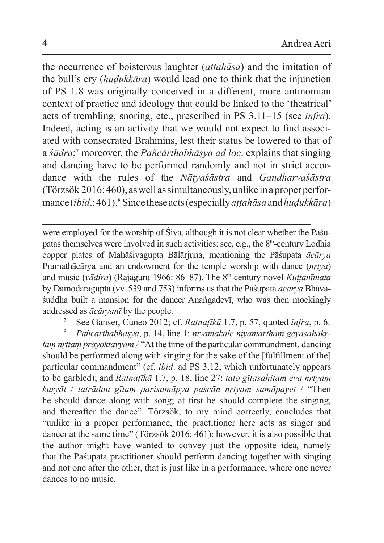the occurrence of boisterous laughter (*aṭṭahāsa*) and the imitation of the bull's cry (*huḍukkāra*) would lead one to think that the injunction of PS 1.8 was originally conceived in a different, more antinomian context of practice and ideology that could be linked to the 'theatrical' acts of trembling, snoring, etc., prescribed in PS 3.11–15 (see *infra*). Indeed, acting is an activity that we would not expect to find associated with consecrated Brahmins, lest their status be lowered to that of a *śūdra*; 7 moreover, the *Pañcārthabhāṣya ad loc*. explains that singing and dancing have to be performed randomly and not in strict accordance with the rules of the *Nāṭyaśāstra* and *Gandharvaśāstra*  (Törzsök 2016: 460), aswell assimultaneously, unlike inaproper performance (*ibid*.: 461).<sup>8</sup> Since theseacts (especially *aṭṭahāsa* and*huḍukkāra*)

were employed for the worship of Śiva, although it is not clear whether the Pāśupatas themselves were involved in such activities: see, e.g., the 8<sup>th</sup>-century Lodhia copper plates of Mahāśivagupta Bālārjuna, mentioning the Pāśupata *ācārya* Pramathācārya and an endowment for the temple worship with dance (*nṛtya*) and music (*vādira*) (Rajaguru 1966: 86–87). The 8<sup>th</sup>-century novel *Kuttanīmata* by Dāmodaragupta (vv. 539 and 753) informs us that the Pāśupata *ācārya* Bhāvaśuddha built a mansion for the dancer Anaṅgadevī, who was then mockingly addressed as *ācāryanī* by the people.

<sup>7</sup> See Ganser, Cuneo 2012; cf. *Ratnaṭīkā* 1.7, p. 57, quoted *infra*, p. 6.

<sup>8</sup> *Pañcārthabhāṣya*, p. 14, line 1: *niyamakāle niyamārthaṃ geyasahakṛtaṃ nṛttaṃ prayoktavyam /* "At the time of the particular commandment, dancing should be performed along with singing for the sake of the [fulfillment of the] particular commandment" (cf. *ibid*. ad PS 3.12, which unfortunately appears to be garbled); and *Ratnaṭīkā* 1.7, p. 18, line 27: *tato gītasahitam eva nṛtyaṃ kuryāt* / *tatrādau gītaṃ parisamāpya paścān nṛtyaṃ samāpayet* / "Then he should dance along with song; at first he should complete the singing, and thereafter the dance". Törzsök, to my mind correctly, concludes that "unlike in a proper performance, the practitioner here acts as singer and dancer at the same time" (Törzsök 2016: 461); however, it is also possible that the author might have wanted to convey just the opposite idea, namely that the Pāśupata practitioner should perform dancing together with singing and not one after the other, that is just like in a performance, where one never dances to no music.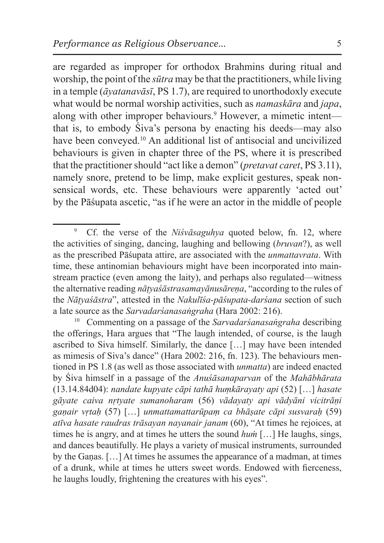are regarded as improper for orthodox Brahmins during ritual and worship, the point of the *sūtra* may be that the practitioners, while living in a temple (*āyatanavāsī*, PS 1.7), are required to unorthodoxly execute what would be normal worship activities, such as *namaskāra* and *japa*, along with other improper behaviours.<sup>9</sup> However, a mimetic intent that is, to embody Śiva's persona by enacting his deeds—may also have been conveyed.<sup>10</sup> An additional list of antisocial and uncivilized behaviours is given in chapter three of the PS, where it is prescribed that the practitioner should "act like a demon" (*pretavat caret*, PS 3.11), namely snore, pretend to be limp, make explicit gestures, speak nonsensical words, etc. These behaviours were apparently 'acted out' by the Pāśupata ascetic, "as if he were an actor in the middle of people

<sup>9</sup> Cf. the verse of the *Niśvāsaguhya* quoted below, fn. 12, where the activities of singing, dancing, laughing and bellowing (*bruvan*?), as well as the prescribed Pāśupata attire, are associated with the *unmattavrata*. With time, these antinomian behaviours might have been incorporated into mainstream practice (even among the laity), and perhaps also regulated—witness the alternative reading *nāṭyaśāstrasamayānusāreṇa*, "according to the rules of the *Nāṭyaśāstra*", attested in the *Nakulīśa-pāśupata-darśana* section of such a late source as the *Sarvadarśanasaṅgraha* (Hara 2002: 216).

<sup>10</sup> Commenting on a passage of the *Sarvadarśanasaṅgraha* describing the offerings, Hara argues that "The laugh intended, of course, is the laugh ascribed to Siva himself. Similarly, the dance […] may have been intended as mimesis of Siva's dance" (Hara 2002: 216, fn. 123). The behaviours mentioned in PS 1.8 (as well as those associated with *unmatta*) are indeed enacted by Śiva himself in a passage of the *Anuśāsanaparvan* of the *Mahābhārata* (13.14.84d04): *nandate kupyate cāpi tathā huṃkārayaty api* (52) […] *hasate gāyate caiva nṛtyate sumanoharam* (56) *vādayaty api vādyāni vicitrāṇi gaṇair vṛtaḥ* (57) […] *unmattamattarūpaṃ ca bhāṣate cāpi susvaraḥ* (59) *atīva hasate raudras trāsayan nayanair janam* (60), "At times he rejoices, at times he is angry, and at times he utters the sound *huṁ* […] He laughs, sings, and dances beautifully. He plays a variety of musical instruments, surrounded by the Gaṇas. […] At times he assumes the appearance of a madman, at times of a drunk, while at times he utters sweet words. Endowed with fierceness, he laughs loudly, frightening the creatures with his eyes".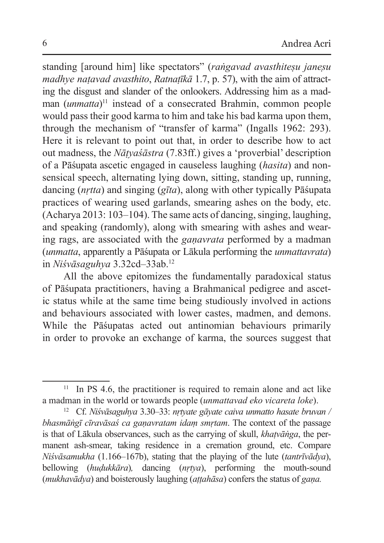standing [around him] like spectators" (*raṅgavad avasthiteṣu janeṣu madhye naṭavad avasthito*, *Ratnaṭīkā* 1.7, p. 57), with the aim of attracting the disgust and slander of the onlookers. Addressing him as a madman (*unmatta*) 11 instead of a consecrated Brahmin, common people would pass their good karma to him and take his bad karma upon them, through the mechanism of "transfer of karma" (Ingalls 1962: 293). Here it is relevant to point out that, in order to describe how to act out madness, the *Nāṭyaśāstra* (7.83ff.) gives a 'proverbial' description of a Pāśupata ascetic engaged in causeless laughing (*hasita*) and nonsensical speech, alternating lying down, sitting, standing up, running, dancing (*nṛtta*) and singing (*gīta*), along with other typically Pāśupata practices of wearing used garlands, smearing ashes on the body, etc. (Acharya 2013: 103–104). The same acts of dancing, singing, laughing, and speaking (randomly), along with smearing with ashes and wearing rags, are associated with the *gaṇavrata* performed by a madman (*unmatta*, apparently a Pāśupata or Lākula performing the *unmattavrata*) in *Niśvāsaguhya* 3.32cd–33ab.<sup>12</sup>

All the above epitomizes the fundamentally paradoxical status of Pāśupata practitioners, having a Brahmanical pedigree and ascetic status while at the same time being studiously involved in actions and behaviours associated with lower castes, madmen, and demons. While the Pāśupatas acted out antinomian behaviours primarily in order to provoke an exchange of karma, the sources suggest that

 $11$  In PS 4.6, the practitioner is required to remain alone and act like a madman in the world or towards people (*unmattavad eko vicareta loke*).

<sup>12</sup> Cf. *Niśvāsaguhya* 3.30–33: *nṛtyate gāyate caiva unmatto hasate bruvan / bhasmāṅgī cīravāsaś ca gaṇavratam idaṃ smṛtam*. The context of the passage is that of Lākula observances, such as the carrying of skull, *khaṭvāṅga*, the permanent ash-smear, taking residence in a cremation ground, etc. Compare *Niśvāsamukha* (1.166–167b), stating that the playing of the lute (*tantrīvādya*), bellowing (*huḍukkāra*)*,* dancing (*nṛtya*), performing the mouth-sound (*mukhavādya*) and boisterously laughing (*aṭṭahāsa*) confers the status of *gaṇa.*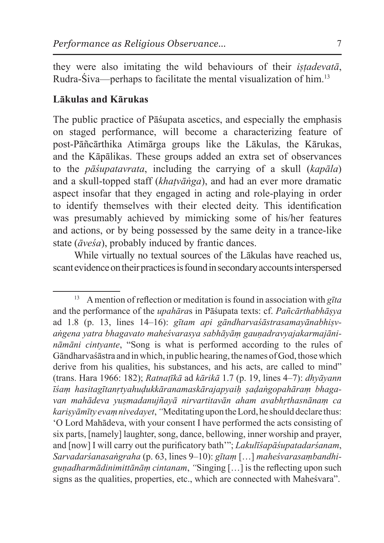they were also imitating the wild behaviours of their *iṣṭadevatā*, Rudra-Śiva—perhaps to facilitate the mental visualization of him.<sup>13</sup>

#### **Lākulas and Kārukas**

The public practice of Pāśupata ascetics, and especially the emphasis on staged performance, will become a characterizing feature of post-Pāñcārthika Atimārga groups like the Lākulas, the Kārukas, and the Kāpālikas. These groups added an extra set of observances to the *pāśupatavrata*, including the carrying of a skull (*kapāla*) and a skull-topped staff (*khaṭvāṅga*), and had an ever more dramatic aspect insofar that they engaged in acting and role-playing in order to identify themselves with their elected deity. This identification was presumably achieved by mimicking some of his/her features and actions, or by being possessed by the same deity in a trance-like state (*āveśa*), probably induced by frantic dances.

While virtually no textual sources of the Lākulas have reached us, scant evidence on their practices is found in secondary accounts interspersed

<sup>&</sup>lt;sup>13</sup> A mention of reflection or meditation is found in association with gita and the performance of the *upahāra*s in Pāśupata texts: cf. *Pañcārthabhāṣya* ad 1.8 (p. 13, lines 14–16): *gītam api gāndharvaśāstrasamayānabhiṣvaṅgena yatra bhagavato maheśvarasya sabhāyāṃ gauṇadravyajakarmajānināmāni cintyante*, "Song is what is performed according to the rules of Gāndharvaśāstra and inwhich, in public hearing, the names of God, thosewhich derive from his qualities, his substances, and his acts, are called to mind" (trans. Hara 1966: 182); *Ratnaṭīkā* ad *kārikā* 1.7 (p. 19, lines 4–7): *dhyāyann īśaṃ hasitagītanṛtyahuḍukkāranamaskārajapyaiḥ ṣaḍaṅgopahāraṃ bhagavan mahādeva yuṣmadanujñayā nirvartitavān aham avabhṛthasnānaṃ ca kariṣyāmīty evaṃ nivedayet*, *"*Meditating upon theLord, he should declare thus: 'O Lord Mahādeva, with your consent I have performed the acts consisting of six parts, [namely] laughter, song, dance, bellowing, inner worship and prayer, and [now] I will carry out the purificatory bath'"; *Lakulīśapāśupatadarśanam*, *Sarvadarśanasaṅgraha* (p. 63, lines 9–10): *gītaṃ* […] *maheśvarasaṃbandhiguṇadharmādinimittānāṃ cintanam*, *"*Singing […] is the reflecting upon such signs as the qualities, properties, etc., which are connected with Maheśvara".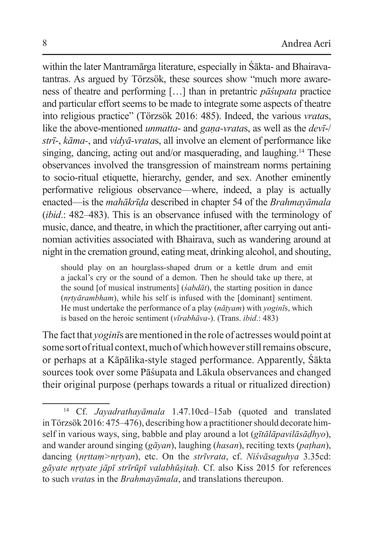within the later Mantramārga literature, especially in Śākta- and Bhairavatantras. As argued by Törzsök, these sources show "much more awareness of theatre and performing […] than in pretantric *pāśupata* practice and particular effort seems to be made to integrate some aspects of theatre into religious practice" (Törzsök 2016: 485). Indeed, the various *vrata*s, like the above-mentioned *unmatta*- and *gaṇa-vrata*s, as well as the *devī*-/ *strī*-, *kāma-*, and *vidyā-vrata*s, all involve an element of performance like singing, dancing, acting out and/or masquerading, and laughing. 14 These observances involved the transgression of mainstream norms pertaining to socio-ritual etiquette, hierarchy, gender, and sex. Another eminently performative religious observance—where, indeed, a play is actually enacted—is the *mahākrīḍa* described in chapter 54 of the *Brahmayāmala* (*ibid*.: 482–483). This is an observance infused with the terminology of music, dance, and theatre, in which the practitioner, after carrying out antinomian activities associated with Bhairava, such as wandering around at night in the cremation ground, eating meat, drinking alcohol, and shouting,

should play on an hourglass-shaped drum or a kettle drum and emit a jackal's cry or the sound of a demon. Then he should take up there, at the sound [of musical instruments] (*śabdāt*), the starting position in dance (*nṛtyārambham*), while his self is infused with the [dominant] sentiment. He must undertake the performance of a play (*nāṭyam*) with *yoginī*s, which is based on the heroic sentiment (*vīrabhāva*-). (Trans. *ibid*.: 483)

The fact that *yoginī*s are mentioned in the role of actresses would point at some sort of ritual context, much of which however still remains obscure, or perhaps at a Kāpālika-style staged performance. Apparently, Śākta sources took over some Pāśupata and Lākula observances and changed their original purpose (perhaps towards a ritual or ritualized direction)

<sup>14</sup> Cf. *Jayadrathayāmala* 1.47.10cd–15ab (quoted and translated inTörzsök 2016: 475–476), describing how a practitioner should decorate himself in various ways, sing, babble and play around a lot (*gītālāpavilāsāḍhyo*), and wander around singing (*gāyan*), laughing (*hasan*), reciting texts (*paṭhan*), dancing (*nṛttaṃ>nṛtyan*), etc. On the *strīvrata*, cf. *Niśvāsaguhya* 3.35cd: *gāyate nṛtyate jāpī strīrūpī valabhūṣitaḥ.* Cf. also Kiss 2015 for references to such *vrata*s in the *Brahmayāmala*, and translations thereupon.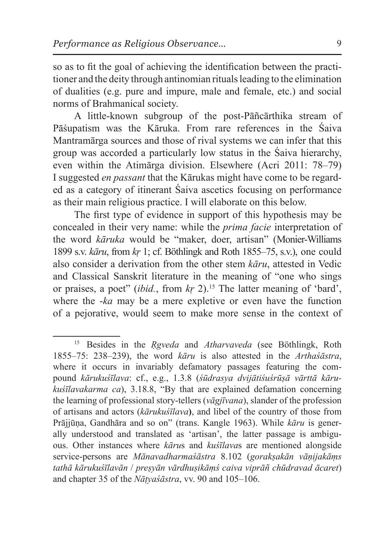so as to fit the goal of achieving the identification between the practitioner and the deity through antinomian rituals leading to the elimination of dualities (e.g. pure and impure, male and female, etc.) and social norms of Brahmanical society.

A little-known subgroup of the post-Pāñcārthika stream of Pāśupatism was the Kāruka. From rare references in the Śaiva Mantramārga sources and those of rival systems we can infer that this group was accorded a particularly low status in the Śaiva hierarchy, even within the Atimārga division. Elsewhere (Acri 2011: 78–79) I suggested *en passant* that the Kārukas might have come to be regarded as a category of itinerant Śaiva ascetics focusing on performance as their main religious practice. I will elaborate on this below.

The first type of evidence in support of this hypothesis may be concealed in their very name: while the *prima facie* interpretation of the word *kāruka* would be "maker, doer, artisan" (Monier-Williams 1899 s.v. *kāru*, from *kṛ* 1; cf. Böthlingk and Roth 1855–75, s.v.), one could also consider a derivation from the other stem *kāru*, attested in Vedic and Classical Sanskrit literature in the meaning of "one who sings or praises, a poet" (*ibid.*, from *kṛ* 2).15 The latter meaning of 'bard', where the -*ka* may be a mere expletive or even have the function of a pejorative, would seem to make more sense in the context of

<sup>15</sup> Besides in the *Ṛgveda* and *Atharvaveda* (see Böthlingk, Roth 1855–75: 238–239), the word *kāru* is also attested in the *Arthaśāstra*, where it occurs in invariably defamatory passages featuring the compound *kārukuśīlava*: cf., e.g., 1.3.8 (*śūdrasya dvijātiśuśrūṣā vārttā kārukuśīlavakarma ca*), 3.18.8, "By that are explained defamation concerning the learning of professional story-tellers (*vāgjīvana*), slander of the profession of artisans and actors (*kārukuśīlava***)**, and libel of the country of those from Prājjūṇa, Gandhāra and so on" (trans. Kangle 1963). While *kāru* is generally understood and translated as 'artisan', the latter passage is ambiguous. Other instances where *kāru*s and *kuśīlava*s are mentioned alongside service-persons are *Mānavadharmaśāstra* 8.102 (*gorakṣakān vāṇijakāṃs tathā kārukuśīlavān* / *preṣyān vārdhuṣikāṃś caiva viprāñ chūdravad ācaret*) and chapter 35 of the *Nāṭyaśāstra*, vv. 90 and 105–106.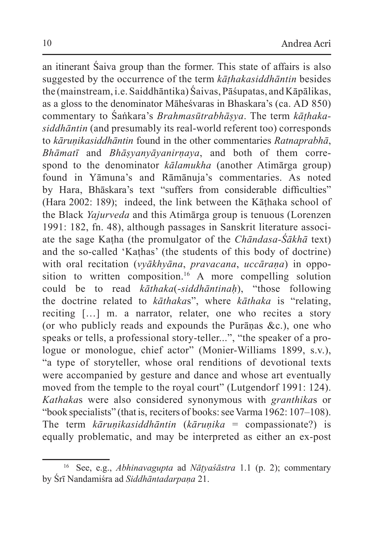an itinerant Śaiva group than the former. This state of affairs is also suggested by the occurrence of the term *kāṭhakasiddhāntin* besides the (mainstream, i.e. Saiddhāntika) Śaivas, Pāśupatas, and Kāpālikas, as a gloss to the denominator Māheśvaras in Bhaskara's (ca. AD 850) commentary to Śaṅkara's *Brahmasūtrabhāṣya*. The term *kāṭhakasiddhāntin* (and presumably its real-world referent too) corresponds to *kāruṇikasiddhāntin* found in the other commentaries *Ratnaprabhā*, *Bhāmatī* and *Bhāṣyanyāyanirṇaya*, and both of them correspond to the denominator *kālamukha* (another Atimārga group) found in Yāmuna's and Rāmānuja's commentaries. As noted by Hara, Bhāskara's text "suffers from considerable difficulties" (Hara 2002: 189); indeed, the link between the Kāthaka school of the Black *Yajurveda* and this Atimārga group is tenuous (Lorenzen 1991: 182, fn. 48), although passages in Sanskrit literature associate the sage Kaṭha (the promulgator of the *Chāndasa-Śākhā* text) and the so-called 'Kaṭhas' (the students of this body of doctrine) with oral recitation (*vyākhyāna*, *pravacana*, *uccāraṇa*) in opposition to written composition.16 A more compelling solution could be to read *kāthaka*(-*siddhāntinaḥ*), "those following the doctrine related to *kāthaka*s", where *kāthaka* is "relating, reciting […] m. a narrator, relater, one who recites a story (or who publicly reads and expounds the Purānas  $\&c$ ), one who speaks or tells, a professional story-teller...", "the speaker of a prologue or monologue, chief actor" (Monier-Williams 1899, s.v.), "a type of storyteller, whose oral renditions of devotional texts were accompanied by gesture and dance and whose art eventually moved from the temple to the royal court" (Lutgendorf 1991: 124). *Kathaka*s were also considered synonymous with *granthika*s or "book specialists" (that is, reciters of books: see Varma 1962: 107–108). The term *kāruṇikasiddhāntin* (*kāruṇika* = compassionate?) is equally problematic, and may be interpreted as either an ex-post

<sup>16</sup> See, e.g., *Abhinavagupta* ad *Nāṭyaśāstra* 1.1 (p. 2); commentary by Śrī Nandamiśra ad *Siddhāntadarpaṇa* 21.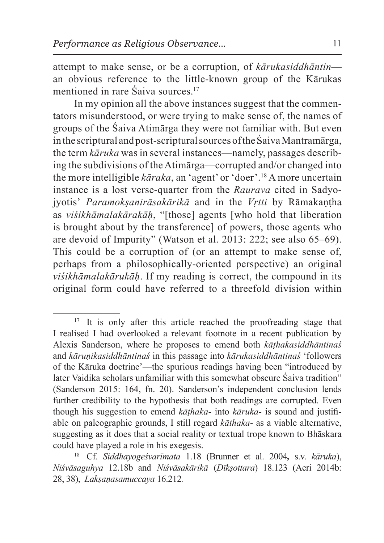attempt to make sense, or be a corruption, of *kārukasiddhāntin* an obvious reference to the little-known group of the Kārukas mentioned in rare Saiva sources.<sup>17</sup>

In my opinion all the above instances suggest that the commentators misunderstood, or were trying to make sense of, the names of groups of the Śaiva Atimārga they were not familiar with. But even in the scriptural and post-scriptural sources of theŚaiva Mantramārga, the term *kāruka* was in several instances—namely, passages describing the subdivisions of theAtimārga—corrupted and/or changed into the more intelligible *kāraka*, an 'agent' or 'doer'.18 A more uncertain instance is a lost verse-quarter from the *Raurava* cited in Sadyojyotis' *Paramokṣanirāsakārikā* and in the *Vṛtti* by Rāmakaṇṭha as *viśikhāmalakārakāḥ*, "[those] agents [who hold that liberation is brought about by the transference] of powers, those agents who are devoid of Impurity" (Watson et al. 2013: 222; see also 65–69). This could be a corruption of (or an attempt to make sense of, perhaps from a philosophically-oriented perspective) an original *viśikhāmalakārukāḥ*. If my reading is correct, the compound in its original form could have referred to a threefold division within

<sup>&</sup>lt;sup>17</sup> It is only after this article reached the proofreading stage that I realised I had overlooked a relevant footnote in a recent publication by Alexis Sanderson, where he proposes to emend both *kāṭhakasiddhāntinaś* and *kāruṇikasiddhāntinaś* in this passage into *kārukasiddhāntinaś* 'followers of the Kāruka doctrine'—the spurious readings having been "introduced by later Vaidika scholars unfamiliar with this somewhat obscure Śaiva tradition" (Sanderson 2015: 164, fn. 20). Sanderson's independent conclusion lends further credibility to the hypothesis that both readings are corrupted. Even though his suggestion to emend *kāṭhaka*- into *kāruka*- is sound and justifiable on paleographic grounds, I still regard *kāthaka*- as a viable alternative, suggesting as it does that a social reality or textual trope known to Bhāskara could have played a role in his exegesis.

<sup>18</sup> Cf. *Siddhayogeśvarīmata* 1.18 (Brunner et al. 2004*,* s.v. *kāruka*), *Niśvāsaguhya* 12.18b and *Niśvāsakārikā* (*Dīkṣottara*) 18.123 (Acri 2014b: 28, 38), *Lakṣaṇasamuccaya* 16.212*.*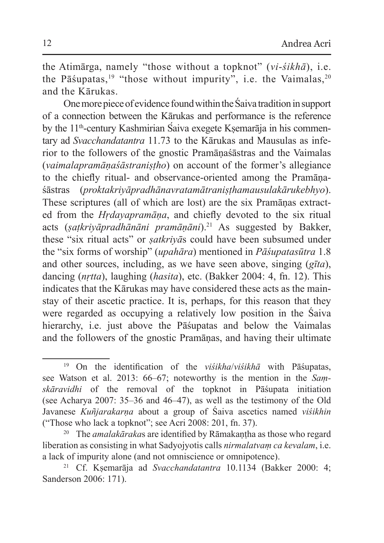the Atimārga, namely "those without a topknot" (*vi*-*śikhā*), i.e. the Pāśupatas,<sup>19</sup> "those without impurity", i.e. the Vaimalas,  $2^{0}$ and the Kārukas.

One more piece of evidence found within theŚaiva tradition in support of a connection between the Kārukas and performance is the reference by the 11<sup>th</sup>-century Kashmirian Saiva exegete Ksemarāja in his commentary ad *Svacchandatantra* 11.73 to the Kārukas and Mausulas as inferior to the followers of the gnostic Pramāṇaśāstras and the Vaimalas (*vaimalapramāṇaśāstraniṣṭho*) on account of the former's allegiance to the chiefly ritual- and observance-oriented among the Pramāṇaśāstras (*proktakriyāpradhānavratamātraniṣṭhamausulakārukebhyo*). These scriptures (all of which are lost) are the six Pramāṇas extracted from the *Hṛdayapramāṇa*, and chiefly devoted to the six ritual acts (*ṣaṭkriyāpradhānāni pramāṇāni*).21 As suggested by Bakker, these "six ritual acts" or *ṣatkriyā*s could have been subsumed under the "six forms of worship" (*upahāra*) mentioned in *Pāśupatasūtra* 1.8 and other sources, including, as we have seen above, singing (*gīta*), dancing (*nṛtta*), laughing (*hasita*), etc. (Bakker 2004: 4, fn. 12). This indicates that the Kārukas may have considered these acts as the mainstay of their ascetic practice. It is, perhaps, for this reason that they were regarded as occupying a relatively low position in the Śaiva hierarchy, i.e. just above the Pāśupatas and below the Vaimalas and the followers of the gnostic Pramāṇas, and having their ultimate

<sup>20</sup> The *amalakāraka*s are identified by Rāmakaṇṭha as those who regard liberation as consisting in what Sadyojyotis calls *nirmalatvaṃ ca kevalam*, i.e. a lack of impurity alone (and not omniscience or omnipotence).

<sup>19</sup> On the identification of the *viśikha*/*viśikhā* with Pāśupatas, see Watson et al. 2013: 66–67; noteworthy is the mention in the *Saṃskāravidhi* of the removal of the topknot in Pāśupata initiation (see Acharya 2007: 35–36 and 46–47), as well as the testimony of the Old Javanese *Kuñjarakarṇa* about a group of Śaiva ascetics named *viśikhin*  ("Those who lack a topknot"; see Acri 2008: 201, fn. 37).

<sup>21</sup> Cf. Kṣemarāja ad *Svacchandatantra* 10.1134 (Bakker 2000: 4; Sanderson 2006: 171).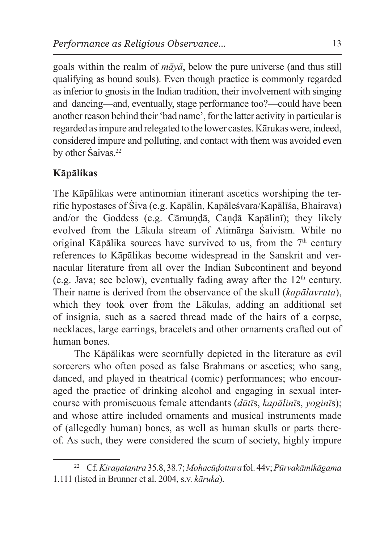goals within the realm of *māyā*, below the pure universe (and thus still qualifying as bound souls). Even though practice is commonly regarded as inferior to gnosis in the Indian tradition, their involvement with singing and dancing—and, eventually, stage performance too?—could have been another reason behind their 'bad name', for the latter activity in particular is regarded as impure and relegated to the lower castes. Kārukas were, indeed, considered impure and polluting, and contact with them was avoided even by other Śaivas.<sup>22</sup>

# **Kāpālikas**

The Kāpālikas were antinomian itinerant ascetics worshiping the terrific hypostases of Śiva (e.g. Kapālin, Kapāleśvara/Kapālīśa, Bhairava) and/or the Goddess (e.g. Cāmundā, Candā Kapālinī); they likely evolved from the Lākula stream of Atimārga Śaivism. While no original Kāpālika sources have survived to us, from the  $7<sup>th</sup>$  century references to Kāpālikas become widespread in the Sanskrit and vernacular literature from all over the Indian Subcontinent and beyond (e.g. Java; see below), eventually fading away after the  $12<sup>th</sup>$  century. Their name is derived from the observance of the skull (*kapālavrata*), which they took over from the Lākulas, adding an additional set of insignia, such as a sacred thread made of the hairs of a corpse, necklaces, large earrings, bracelets and other ornaments crafted out of human bones.

The Kāpālikas were scornfully depicted in the literature as evil sorcerers who often posed as false Brahmans or ascetics; who sang, danced, and played in theatrical (comic) performances; who encouraged the practice of drinking alcohol and engaging in sexual intercourse with promiscuous female attendants (*dūtī*s, *kapālinī*s, *yoginī*s); and whose attire included ornaments and musical instruments made of (allegedly human) bones, as well as human skulls or parts thereof. As such, they were considered the scum of society, highly impure

<sup>22</sup> Cf. *Kiraṇatantra* 35.8, 38.7; *Mohacūḍottara* fol. 44v; *Pūrvakāmikāgama* 1.111 (listed in Brunner et al. 2004, s.v. *kāruka*).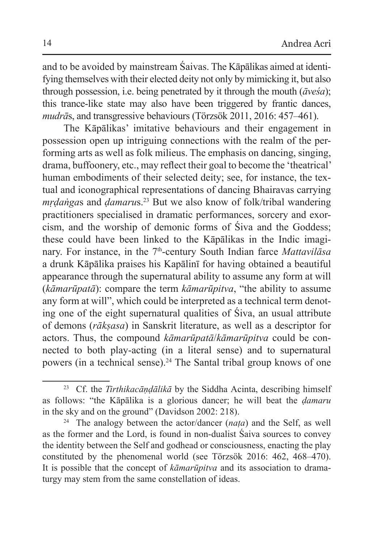and to be avoided by mainstream Śaivas. The Kāpālikas aimed at identifying themselves with their elected deity not only by mimicking it, but also through possession, i.e. being penetrated by it through the mouth (*āveśa*); this trance-like state may also have been triggered by frantic dances, *mudrā*s, and transgressive behaviours (Törzsök 2011, 2016: 457–461).

The Kāpālikas' imitative behaviours and their engagement in possession open up intriguing connections with the realm of the performing arts as well as folk milieus. The emphasis on dancing, singing, drama, buffoonery, etc., may reflect their goal to become the 'theatrical' human embodiments of their selected deity; see, for instance, the textual and iconographical representations of dancing Bhairavas carrying *mṛḍaṅga*s and *ḍamaru*s.23 But we also know of folk/tribal wandering practitioners specialised in dramatic performances, sorcery and exorcism, and the worship of demonic forms of Śiva and the Goddess; these could have been linked to the Kāpālikas in the Indic imaginary. For instance, in the 7<sup>th</sup>-century South Indian farce *Mattavilasa* a drunk Kāpālika praises his Kapālinī for having obtained a beautiful appearance through the supernatural ability to assume any form at will (*kāmarūpatā*): compare the term *kāmarūpitva*, "the ability to assume any form at will", which could be interpreted as a technical term denoting one of the eight supernatural qualities of Śiva, an usual attribute of demons (*rākṣasa*) in Sanskrit literature, as well as a descriptor for actors. Thus, the compound *kāmarūpatā*/*kāmarūpitva* could be connected to both play-acting (in a literal sense) and to supernatural powers (in a technical sense).<sup>24</sup> The Santal tribal group knows of one

<sup>23</sup> Cf. the *Tirthikacāṇḍālikā* by the Siddha Acinta, describing himself as follows: "the Kāpālika is a glorious dancer; he will beat the *ḍamaru* in the sky and on the ground" (Davidson 2002: 218).

<sup>24</sup> The analogy between the actor/dancer (*naṭa*) and the Self, as well as the former and the Lord, is found in non-dualist Śaiva sources to convey the identity between the Self and godhead or consciousness, enacting the play constituted by the phenomenal world (see Törzsök 2016: 462, 468–470). It is possible that the concept of *kāmarūpitva* and its association to dramaturgy may stem from the same constellation of ideas.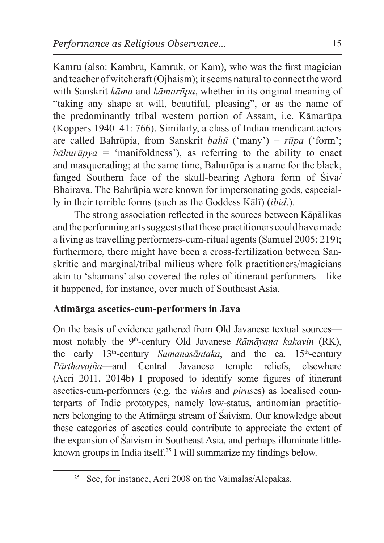Kamru (also: Kambru, Kamruk, or Kam), who was the first magician and teacher of witchcraft (Ojhaism); it seems natural to connect the word with Sanskrit *kāma* and *kāmarūpa*, whether in its original meaning of "taking any shape at will, beautiful, pleasing", or as the name of the predominantly tribal western portion of Assam, i.e. Kāmarūpa (Koppers 1940–41: 766). Similarly, a class of Indian mendicant actors are called Bahrūpia, from Sanskrit *bahū* ('many') + *rūpa* ('form';  $b\bar{a}huripya = 'manifolds'$ , as referring to the ability to enact and masquerading; at the same time, Bahurūpa is a name for the black, fanged Southern face of the skull-bearing Aghora form of Śiva/ Bhairava. The Bahrūpia were known for impersonating gods, especially in their terrible forms (such as the Goddess Kālī) (*ibid*.).

The strong association reflected in the sources between Kāpālikas and the performing arts suggests that those practitioners could have made a living astravelling performers-cum-ritual agents (Samuel 2005: 219); furthermore, there might have been a cross-fertilization between Sanskritic and marginal/tribal milieus where folk practitioners/magicians akin to 'shamans' also covered the roles of itinerant performers—like it happened, for instance, over much of Southeast Asia.

## **Atimārga ascetics-cum-performers in Java**

On the basis of evidence gathered from Old Javanese textual sources most notably the 9th-century Old Javanese *Rāmāyaṇa kakavin* (RK), the early 13<sup>th</sup>-century *Sumanasāntaka*, and the ca. 15<sup>th</sup>-century *Pārthayajña*—and Central Javanese temple reliefs, elsewhere (Acri 2011, 2014b) I proposed to identify some figures of itinerant ascetics-cum-performers (e.g. the *vidu*s and *pirus*es) as localised counterparts of Indic prototypes, namely low-status, antinomian practitioners belonging to the Atimarga stream of Saivism. Our knowledge about these categories of ascetics could contribute to appreciate the extent of the expansion of Śaivism in Southeast Asia, and perhaps illuminate littleknown groups in India itself.25 I will summarize my findings below.

<sup>25</sup> See, for instance, Acri 2008 on the Vaimalas/Alepakas.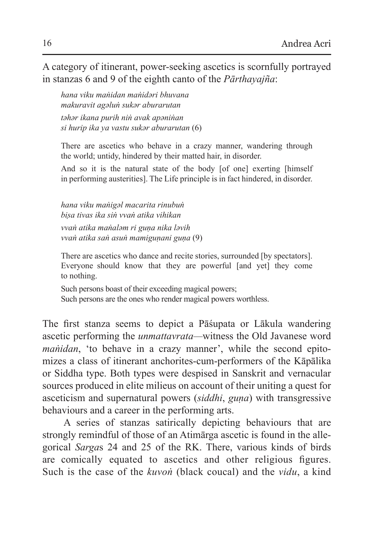A category of itinerant, power-seeking ascetics is scornfully portrayed in stanzas 6 and 9 of the eighth canto of the *Pārthayajña*:

*hana viku maṅidan maṅidǝri bhuvana makuravit agǝluṅ sukǝr aburarutan tǝhǝr ikana purih niṅ avak apǝniṅan si hurip ika ya vastu sukǝr aburarutan* (6)

There are ascetics who behave in a crazy manner, wandering through the world; untidy, hindered by their matted hair, in disorder.

And so it is the natural state of the body [of one] exerting [himself in performing austerities]. The Life principle is in fact hindered, in disorder.

*hana viku maṅigǝl macarita rinubuṅ biṣa tivas ika siṅ vvaṅ atika vihikan vvaṅ atika maṅalǝm ri guṇa nika lǝvih vvaṅ atika saṅ asuṅ mamiguṇani guṇa* (9)

There are ascetics who dance and recite stories, surrounded [by spectators]. Everyone should know that they are powerful [and yet] they come to nothing.

Such persons boast of their exceeding magical powers; Such persons are the ones who render magical powers worthless.

The first stanza seems to depict a Pāśupata or Lākula wandering ascetic performing the *unmattavrata—*witness the Old Javanese word *maṅidan*, 'to behave in a crazy manner', while the second epitomizes a class of itinerant anchorites-cum-performers of the Kāpālika or Siddha type. Both types were despised in Sanskrit and vernacular sources produced in elite milieus on account of their uniting a quest for asceticism and supernatural powers (*siddhi*, *guṇa*) with transgressive behaviours and a career in the performing arts.

A series of stanzas satirically depicting behaviours that are strongly remindful of those of an Atimārga ascetic is found in the allegorical *Sarga*s 24 and 25 of the RK. There, various kinds of birds are comically equated to ascetics and other religious figures. Such is the case of the *kuvoṅ* (black coucal) and the *vidu*, a kind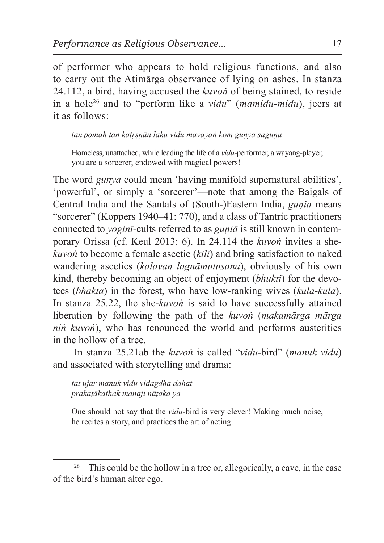of performer who appears to hold religious functions, and also to carry out the Atimārga observance of lying on ashes. In stanza 24.112, a bird, having accused the *kuvoṅ* of being stained, to reside in a hole26 and to "perform like a *vidu*" (*mamidu-midu*), jeers at it as follows:

*tan pomah tan katṛṣṇān laku vidu mavayaṅ kom guṇya saguṇa*

Homeless, unattached, while leading the life of a *vidu*-performer, a wayang-player, you are a sorcerer, endowed with magical powers!

The word *guṇya* could mean 'having manifold supernatural abilities', 'powerful', or simply a 'sorcerer'—note that among the Baigals of Central India and the Santals of (South-)Eastern India, *gunia* means "sorcerer" (Koppers 1940–41: 770), and a class of Tantric practitioners connected to *yoginī*-cults referred to as *guṇiā* is still known in contemporary Orissa (cf. Keul 2013: 6). In 24.114 the *kuvoṅ* invites a she*kuvoṅ* to become a female ascetic (*kili*) and bring satisfaction to naked wandering ascetics (*kalavan lagnāmutusana*), obviously of his own kind, thereby becoming an object of enjoyment (*bhukti*) for the devotees (*bhakta*) in the forest, who have low-ranking wives (*kula-kula*). In stanza 25.22, the she-*kuvoṅ* is said to have successfully attained liberation by following the path of the *kuvoṅ* (*makamārga mārga niṅ kuvoṅ*), who has renounced the world and performs austerities in the hollow of a tree.

In stanza 25.21ab the *kuvoṅ* is called "*vidu*-bird" (*manuk vidu*) and associated with storytelling and drama:

*tat ujar manuk vidu vidagdha dahat prakaṭākathak maṅaji nāṭaka ya*

One should not say that the *vidu*-bird is very clever! Making much noise, he recites a story, and practices the art of acting.

<sup>&</sup>lt;sup>26</sup> This could be the hollow in a tree or, allegorically, a cave, in the case of the bird's human alter ego.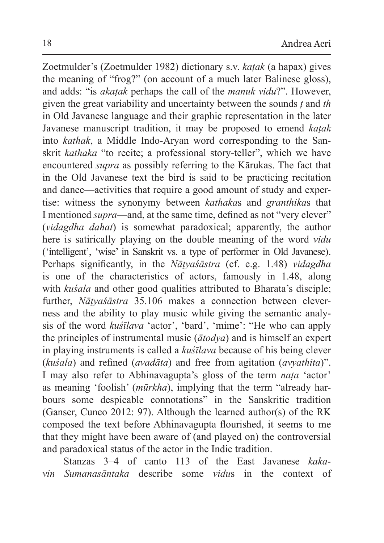Zoetmulder's (Zoetmulder 1982) dictionary s.v. *kaṭak* (a hapax) gives the meaning of "frog?" (on account of a much later Balinese gloss), and adds: "is *akaṭak* perhaps the call of the *manuk vidu*?". However, given the great variability and uncertainty between the sounds *ṭ* and *th* in Old Javanese language and their graphic representation in the later Javanese manuscript tradition, it may be proposed to emend *kaṭak* into *kathak*, a Middle Indo-Aryan word corresponding to the Sanskrit *kathaka* "to recite; a professional story-teller", which we have encountered *supra* as possibly referring to the Kārukas. The fact that in the Old Javanese text the bird is said to be practicing recitation and dance—activities that require a good amount of study and expertise: witness the synonymy between *kathaka*s and *granthika*s that I mentioned *supra*—and, at the same time, defined as not "very clever" (*vidagdha dahat*) is somewhat paradoxical; apparently, the author here is satirically playing on the double meaning of the word *vidu* ('intelligent', 'wise' in Sanskrit vs. a type of performer in Old Javanese). Perhaps significantly, in the *Nāṭyaśāstra* (cf. e.g. 1.48) *vidagdha* is one of the characteristics of actors, famously in 1.48, along with *kuśala* and other good qualities attributed to Bharata's disciple; further, *Nāṭyaśāstra* 35.106 makes a connection between cleverness and the ability to play music while giving the semantic analysis of the word *kuśīlava* 'actor', 'bard', 'mime': "He who can apply the principles of instrumental music (*ātodya*) and is himself an expert in playing instruments is called a *kuśīlava* because of his being clever (*kuśala*) and refined (*avadāta*) and free from agitation (*avyathita*)". I may also refer to Abhinavagupta's gloss of the term *naṭa* 'actor' as meaning 'foolish' (*mūrkha*), implying that the term "already harbours some despicable connotations" in the Sanskritic tradition (Ganser, Cuneo 2012: 97). Although the learned author(s) of the RK composed the text before Abhinavagupta flourished, it seems to me that they might have been aware of (and played on) the controversial and paradoxical status of the actor in the Indic tradition.

Stanzas 3–4 of canto 113 of the East Javanese *kakavin Sumanasāntaka* describe some *vidu*s in the context of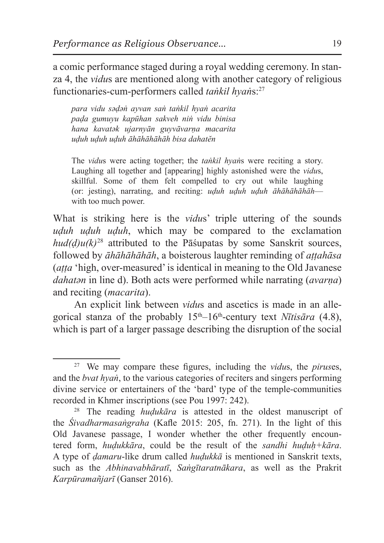a comic performance staged during a royal wedding ceremony. In stanza 4, the *vidu*s are mentioned along with another category of religious functionaries-cum-performers called *taṅkil hyaṅ*s:27

*para vidu sәḍәṅ ayvan saṅ taṅkil hyaṅ acarita paḍa gumuyu kapūhan sakveh niṅ vidu binisa hana kavatәk ujarnyān guyvāvarṇa macarita uḍuh uḍuh uḍuh āhāhāhāhāh bisa dahatĕn* 

The *vidu*s were acting together; the *taṅkil hyaṅ*s were reciting a story. Laughing all together and [appearing] highly astonished were the *vidu*s, skillful. Some of them felt compelled to cry out while laughing (or: jesting), narrating, and reciting: *uḍuh uḍuh uḍuh āhāhāhāhāh* with too much power.

What is striking here is the *vidus*' triple uttering of the sounds *uḍuh uḍuh uḍuh*, which may be compared to the exclamation *hud(ḍ)u(k)*<sup>28</sup> attributed to the Pāśupatas by some Sanskrit sources, followed by *āhāhāhāhāh*, a boisterous laughter reminding of *aṭṭahāsa*  (*aṭṭa* 'high, over-measured' is identical in meaning to the Old Javanese *dahatәn* in line d). Both acts were performed while narrating (*avarṇa*) and reciting (*macarita*).

An explicit link between *vidu*s and ascetics is made in an allegorical stanza of the probably  $15<sup>th</sup>-16<sup>th</sup>$ -century text *Nītisāra* (4.8), which is part of a larger passage describing the disruption of the social

<sup>27</sup> We may compare these figures, including the *vidu*s, the *pirus*es, and the *bvat hyaṅ*, to the various categories of reciters and singers performing divine service or entertainers of the 'bard' type of the temple-communities recorded in Khmer inscriptions (see Pou 1997: 242).

<sup>28</sup> The reading *huḍukāra* is attested in the oldest manuscript of the *Śivadharmasaṅgraha* (Kafle 2015: 205, fn. 271). In the light of this Old Javanese passage, I wonder whether the other frequently encountered form, *huḍukkāra*, could be the result of the *sandhi huḍuḥ+kāra*. A type of *ḍamaru*-like drum called *huḍukkā* is mentioned in Sanskrit texts, such as the *Abhinavabhāratī*, *Saṅgītaratnākara*, as well as the Prakrit *Karpūramañjarī* (Ganser 2016).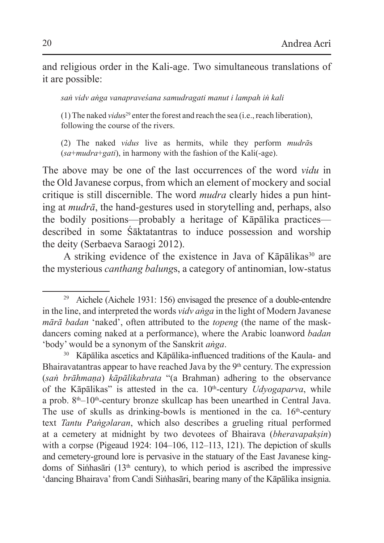and religious order in the Kali-age. Two simultaneous translations of it are possible:

*saṅ vidv aṅga vanapraveśana samudragati manut i lampah iṅ kali*

(1) The naked *vidus*<sup>29</sup> enter the forest and reach the sea (i.e., reach liberation), following the course of the rivers.

(2) The naked *vidus* live as hermits, while they perform *mudrā*s (*sa*+*mudra*+*gati*), in harmony with the fashion of the Kali(-age).

The above may be one of the last occurrences of the word *vidu* in the Old Javanese corpus, from which an element of mockery and social critique is still discernible. The word *mudra* clearly hides a pun hinting at *mudrā*, the hand-gestures used in storytelling and, perhaps, also the bodily positions—probably a heritage of Kāpālika practices described in some Śāktatantras to induce possession and worship the deity (Serbaeva Saraogi 2012).

A striking evidence of the existence in Java of  $Kāpālikas<sup>30</sup>$  are the mysterious *canthang balung*s, a category of antinomian, low-status

<sup>30</sup> Kāpālika ascetics and Kāpālika-influenced traditions of the Kaula- and Bhairavatantras appear to have reached Java by the  $9<sup>th</sup>$  century. The expression (*saṅ brāhmaṇa*) *kāpālikabrata* "(a Brahman) adhering to the observance of the Kāpālikas" is attested in the ca. 10<sup>th</sup>-century *Udyogaparva*, while a prob. 8<sup>th</sup>–10<sup>th</sup>-century bronze skullcap has been unearthed in Central Java. The use of skulls as drinking-bowls is mentioned in the ca.  $16<sup>th</sup>$ -century text *Tantu Paṅgәlaran*, which also describes a grueling ritual performed at a cemetery at midnight by two devotees of Bhairava (*bheravapakṣin*) with a corpse (Pigeaud 1924: 104–106, 112–113, 121). The depiction of skulls and cemetery-ground lore is pervasive in the statuary of the East Javanese kingdoms of Sinhasari ( $13<sup>th</sup>$  century), to which period is ascribed the impressive 'dancing Bhairava' from Candi Siṅhasāri, bearing many of the Kāpālika insignia.

<sup>&</sup>lt;sup>29</sup> Aichele (Aichele 1931: 156) envisaged the presence of a double-entendre in the line, and interpreted the words *vidv aṅga* in the light of Modern Javanese *mārā badan* 'naked', often attributed to the *topeng* (the name of the maskdancers coming naked at a performance), where the Arabic loanword *badan*  'body' would be a synonym of the Sanskrit *aṅga*.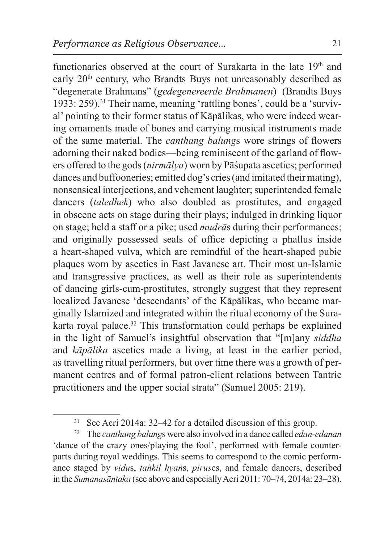functionaries observed at the court of Surakarta in the late  $19<sup>th</sup>$  and early  $20<sup>th</sup>$  century, who Brandts Buys not unreasonably described as "degenerate Brahmans" (*gedegenereerde Brahmanen*) (Brandts Buys 1933: 259).<sup>31</sup> Their name, meaning 'rattling bones', could be a 'survival' pointing to their former status of Kāpālikas, who were indeed wearing ornaments made of bones and carrying musical instruments made of the same material. The *canthang balung*s wore strings of flowers adorning their naked bodies—being reminiscent of the garland of flowers offered to the gods (*nirmālya*) worn by Pāśupata ascetics; performed dances and buffooneries; emitted dog's cries (and imitated their mating), nonsensical interjections, and vehement laughter; superintended female dancers (*taledhek*) who also doubled as prostitutes, and engaged in obscene acts on stage during their plays; indulged in drinking liquor on stage; held a staff or a pike; used *mudrā*s during their performances; and originally possessed seals of office depicting a phallus inside a heart-shaped vulva, which are remindful of the heart-shaped pubic plaques worn by ascetics in East Javanese art. Their most un-Islamic and transgressive practices, as well as their role as superintendents of dancing girls-cum-prostitutes, strongly suggest that they represent localized Javanese 'descendants' of the Kāpālikas, who became marginally Islamized and integrated within the ritual economy of the Surakarta royal palace.<sup>32</sup> This transformation could perhaps be explained in the light of Samuel's insightful observation that "[m]any *siddha* and *kāpālika* ascetics made a living, at least in the earlier period, as travelling ritual performers, but over time there was a growth of permanent centres and of formal patron-client relations between Tantric practitioners and the upper social strata" (Samuel 2005: 219).

<sup>31</sup> See Acri 2014a: 32–42 for a detailed discussion of this group.

<sup>32</sup> The *canthang balung*s were also involved in a dance called *edan-edanan* 'dance of the crazy ones/playing the fool', performed with female counterparts during royal weddings. This seems to correspond to the comic performance staged by *vidu*s, *taṅkil hyaṅ*s, *pirus*es, and female dancers, described in the *Sumanasāntaka* (see above and especially Acri 2011: 70–74, 2014a: 23–28).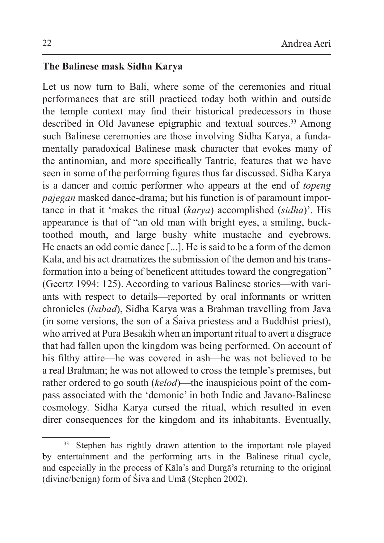## **The Balinese mask Sidha Karya**

Let us now turn to Bali, where some of the ceremonies and ritual performances that are still practiced today both within and outside the temple context may find their historical predecessors in those described in Old Javanese epigraphic and textual sources.<sup>33</sup> Among such Balinese ceremonies are those involving Sidha Karya, a fundamentally paradoxical Balinese mask character that evokes many of the antinomian, and more specifically Tantric, features that we have seen in some of the performing figures thus far discussed. Sidha Karya is a dancer and comic performer who appears at the end of *topeng pajegan* masked dance-drama; but his function is of paramount importance in that it 'makes the ritual (*karya*) accomplished (*sidha*)'. His appearance is that of "an old man with bright eyes, a smiling, bucktoothed mouth, and large bushy white mustache and eyebrows. He enacts an odd comic dance [...]. He is said to be a form of the demon Kala, and his act dramatizes the submission of the demon and his transformation into a being of beneficent attitudes toward the congregation" (Geertz 1994: 125). According to various Balinese stories—with variants with respect to details—reported by oral informants or written chronicles (*babad*), Sidha Karya was a Brahman travelling from Java (in some versions, the son of a Śaiva priestess and a Buddhist priest), who arrived at Pura Besakih when an important ritual to avert a disgrace that had fallen upon the kingdom was being performed. On account of his filthy attire—he was covered in ash—he was not believed to be a real Brahman; he was not allowed to cross the temple's premises, but rather ordered to go south (*kelod*)—the inauspicious point of the compass associated with the 'demonic' in both Indic and Javano-Balinese cosmology. Sidha Karya cursed the ritual, which resulted in even direr consequences for the kingdom and its inhabitants. Eventually,

<sup>&</sup>lt;sup>33</sup> Stephen has rightly drawn attention to the important role played by entertainment and the performing arts in the Balinese ritual cycle, and especially in the process of Kāla's and Durgā's returning to the original (divine/benign) form of Śiva and Umā (Stephen 2002).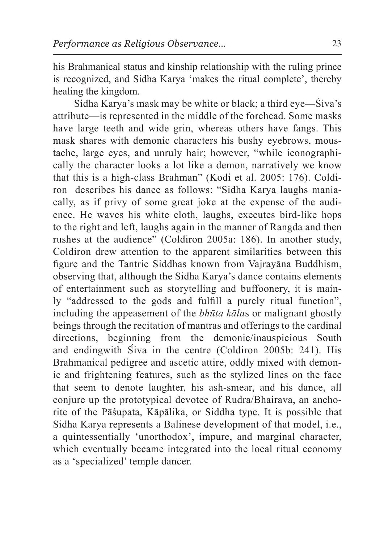his Brahmanical status and kinship relationship with the ruling prince is recognized, and Sidha Karya 'makes the ritual complete', thereby healing the kingdom.

Sidha Karya's mask may be white or black; a third eye—Śiva's attribute—is represented in the middle of the forehead. Some masks have large teeth and wide grin, whereas others have fangs. This mask shares with demonic characters his bushy eyebrows, moustache, large eyes, and unruly hair; however, "while iconographically the character looks a lot like a demon, narratively we know that this is a high-class Brahman" (Kodi et al. 2005: 176). Coldiron describes his dance as follows: "Sidha Karya laughs maniacally, as if privy of some great joke at the expense of the audience. He waves his white cloth, laughs, executes bird-like hops to the right and left, laughs again in the manner of Rangda and then rushes at the audience" (Coldiron 2005a: 186). In another study, Coldiron drew attention to the apparent similarities between this figure and the Tantric Siddhas known from Vajrayāna Buddhism, observing that, although the Sidha Karya's dance contains elements of entertainment such as storytelling and buffoonery, it is mainly "addressed to the gods and fulfill a purely ritual function", including the appeasement of the *bhūta kāla*s or malignant ghostly beings through the recitation of mantras and offerings to the cardinal directions, beginning from the demonic/inauspicious South and endingwith Śiva in the centre (Coldiron 2005b: 241). His Brahmanical pedigree and ascetic attire, oddly mixed with demonic and frightening features, such as the stylized lines on the face that seem to denote laughter, his ash-smear, and his dance, all conjure up the prototypical devotee of Rudra/Bhairava, an anchorite of the Pāśupata, Kāpālika, or Siddha type. It is possible that Sidha Karya represents a Balinese development of that model, i.e., a quintessentially 'unorthodox', impure, and marginal character, which eventually became integrated into the local ritual economy as a 'specialized' temple dancer.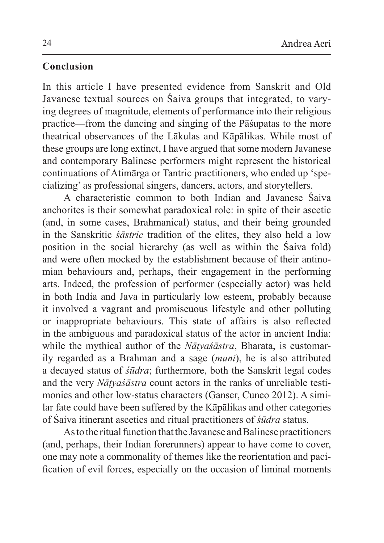# **Conclusion**

In this article I have presented evidence from Sanskrit and Old Javanese textual sources on Śaiva groups that integrated, to varying degrees of magnitude, elements of performance into their religious practice—from the dancing and singing of the Pāśupatas to the more theatrical observances of the Lākulas and Kāpālikas. While most of these groups are long extinct, I have argued that some modern Javanese and contemporary Balinese performers might represent the historical continuations of Atimārga or Tantric practitioners, who ended up 'specializing' as professional singers, dancers, actors, and storytellers.

A characteristic common to both Indian and Javanese Śaiva anchorites is their somewhat paradoxical role: in spite of their ascetic (and, in some cases, Brahmanical) status, and their being grounded in the Sanskritic *śāstric* tradition of the elites, they also held a low position in the social hierarchy (as well as within the Śaiva fold) and were often mocked by the establishment because of their antinomian behaviours and, perhaps, their engagement in the performing arts. Indeed, the profession of performer (especially actor) was held in both India and Java in particularly low esteem, probably because it involved a vagrant and promiscuous lifestyle and other polluting or inappropriate behaviours. This state of affairs is also reflected in the ambiguous and paradoxical status of the actor in ancient India: while the mythical author of the *Nāṭyaśāstra*, Bharata, is customarily regarded as a Brahman and a sage (*muni*), he is also attributed a decayed status of *śūdra*; furthermore, both the Sanskrit legal codes and the very *Nāṭyaśāstra* count actors in the ranks of unreliable testimonies and other low-status characters (Ganser, Cuneo 2012). A similar fate could have been suffered by the Kāpālikas and other categories of Śaiva itinerant ascetics and ritual practitioners of *śūdra* status.

As to the ritual function that the Javanese and Balinese practitioners (and, perhaps, their Indian forerunners) appear to have come to cover, one may note a commonality of themes like the reorientation and pacification of evil forces, especially on the occasion of liminal moments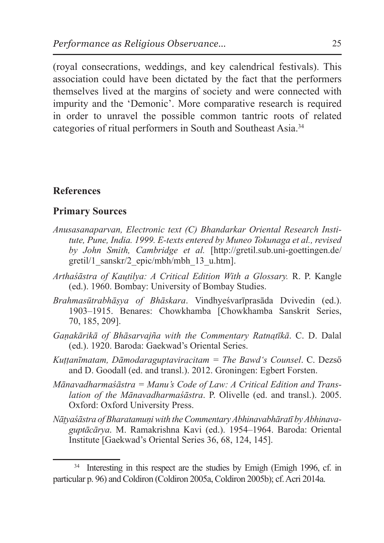(royal consecrations, weddings, and key calendrical festivals). This association could have been dictated by the fact that the performers themselves lived at the margins of society and were connected with impurity and the 'Demonic'. More comparative research is required in order to unravel the possible common tantric roots of related categories of ritual performers in South and Southeast Asia.<sup>34</sup>

### **References**

### **Primary Sources**

- *Anusasanaparvan, Electronic text (C) Bhandarkar Oriental Research Institute, Pune, India. 1999. E-texts entered by Muneo Tokunaga et al., revised by John Smith, Cambridge et al.* [http://gretil.sub.uni-goettingen.de/ gretil/1\_sanskr/2\_epic/mbh/mbh\_13\_u.htm].
- *Arthaśāstra of Kauṭilya: A Critical Edition With a Glossary.* R. P. Kangle (ed.). 1960. Bombay: University of Bombay Studies.
- *Brahmasūtrabhāṣya of Bhāskara*. Vindhyeśvarīprasāda Dvivedin (ed.). 1903–1915. Benares: Chowkhamba [Chowkhamba Sanskrit Series, 70, 185, 209].
- *Gaṇakārikā of Bhāsarvajña with the Commentary Ratnaṭīkā*. C. D. Dalal (ed.). 1920. Baroda: Gaekwad's Oriental Series.
- *Kuṭṭanīmatam, Dāmodaraguptaviracitam = The Bawd's Counsel*. C. Dezső and D. Goodall (ed. and transl.). 2012. Groningen: Egbert Forsten.
- *Mānavadharmaśāstra = Manu's Code of Law: A Critical Edition and Translation of the Mānavadharmaśāstra*. P. Olivelle (ed. and transl.). 2005. Oxford: Oxford University Press.
- *Nāṭyaśāstra of Bharatamuṇi with theCommentary Abhinavabhāratī by Abhinavaguptācārya*. M. Ramakrishna Kavi (ed.). 1954–1964. Baroda: Oriental Institute [Gaekwad's Oriental Series 36, 68, 124, 145].

Interesting in this respect are the studies by Emigh (Emigh 1996, cf. in particular p. 96) and Coldiron (Coldiron 2005a, Coldiron 2005b); cf. Acri 2014a.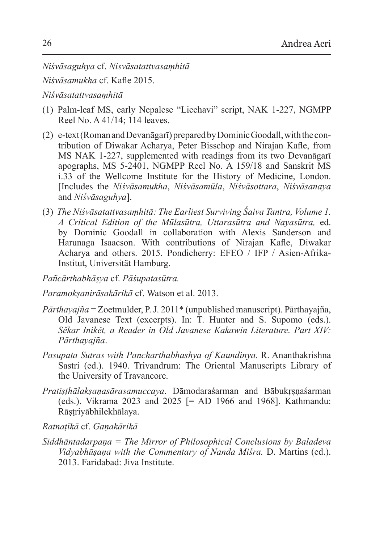*Niśvāsaguhya* cf. *Nisvāsatattvasaṃhitā*

*Niśvāsamukha* cf. Kafle 2015.

*Niśvāsatattvasaṃhitā*

- (1) Palm-leaf MS, early Nepalese "Licchavi" script, NAK 1-227, NGMPP Reel No. A 41/14; 114 leaves.
- (2) e-text (Roman and Devanāgarī) prepared by Dominic Goodall, with the contribution of Diwakar Acharya, Peter Bisschop and Nirajan Kafle, from MS NAK 1-227, supplemented with readings from its two Devanāgarī apographs, MS 5-2401, NGMPP Reel No. A 159/18 and Sanskrit MS i.33 of the Wellcome Institute for the History of Medicine, London. [Includes the *Niśvāsamukha*, *Niśvāsamūla*, *Niśvāsottara*, *Niśvāsanaya*  and *Niśvāsaguhya*].
- (3) *The Niśvāsatattvasaṃhitā: The Earliest Surviving Śaiva Tantra, Volume 1. A Critical Edition of the Mūlasūtra, Uttarasūtra and Nayasūtra,* ed. by Dominic Goodall in collaboration with Alexis Sanderson and Harunaga Isaacson. With contributions of Nirajan Kafle, Diwakar Acharya and others. 2015. Pondicherry: EFEO / IFP / Asien-Afrika-Institut, Universität Hamburg.

*Pañcārthabhāṣya* cf. *Pāśupatasūtra.*

*Paramokṣanirāsakārikā* cf. Watson et al. 2013.

- *Pārthayajña* = Zoetmulder, P. J. 2011\* (unpublished manuscript). Pārthayajña, Old Javanese Text (excerpts). In: T. Hunter and S. Supomo (eds.). *Sěkar Inikět, a Reader in Old Javanese Kakawin Literature. Part XIV: Pārthayajña*.
- *Pasupata Sutras with Pancharthabhashya of Kaundinya*. R. Ananthakrishna Sastri (ed.). 1940. Trivandrum: The Oriental Manuscripts Library of the University of Travancore.
- *Pratiṣṭhālakṣaṇasārasamuccaya*. Dāmodaraśarman and Bābukṛṣṇaśarman (eds.). Vikrama 2023 and 2025 [= AD 1966 and 1968]. Kathmandu: Rāṣṭriyābhilekhālaya.

*Ratnaṭīkā* cf. *Gaṇakārikā*

*Siddhāntadarpaṇa = The Mirror of Philosophical Conclusions by Baladeva Vidyabhūṣaṇa with the Commentary of Nanda Miśra.* D. Martins (ed.). 2013. Faridabad: Jiva Institute.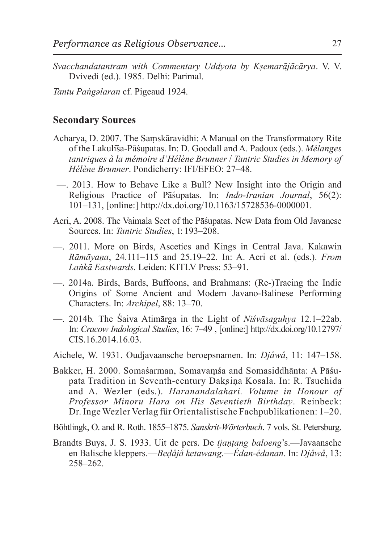*Svacchandatantram with Commentary Uddyota by Kṣemarājācārya*. V. V. Dvivedi (ed.). 1985. Delhi: Parimal.

*Tantu Paṅgәlaran* cf. Pigeaud 1924.

#### **Secondary Sources**

- Acharya, D. 2007. The Saṃskāravidhi: A Manual on the Transformatory Rite of the Lakulīśa-Pāśupatas. In: D. Goodall and A. Padoux (eds.). *Mélanges tantriques à la mémoire d'Hélène Brunner* / *Tantric Studies in Memory of Hélène Brunner*. Pondicherry: IFI/EFEO: 27–48.
- —. 2013. How to Behave Like a Bull? New Insight into the Origin and Religious Practice of Pāśupatas. In: *Indo-Iranian Journal*, 56(2): 101–131, [online:] http://dx.doi.org/10.1163/15728536-0000001.
- Acri, A. 2008. The Vaimala Sect of the Pāśupatas. New Data from Old Javanese Sources. In: *Tantric Studies*, 1: 193–208.
- —. 2011. More on Birds, Ascetics and Kings in Central Java. Kakawin *Rāmāyaṇa*, 24.111–115 and 25.19–22. In: A. Acri et al. (eds.). *From Laṅkā Eastwards.* Leiden: KITLV Press: 53–91.
- —. 2014a. Birds, Bards, Buffoons, and Brahmans: (Re-)Tracing the Indic Origins of Some Ancient and Modern Javano-Balinese Performing Characters. In: *Archipel*, 88: 13–70.
- —. 2014b*.* The Śaiva Atimārga in the Light of *Niśvāsaguhya* 12.1–22ab. In: *Cracow Indological Studies*, 16: 7–49 , [online:] http://dx.doi.org/10.12797/ CIS.16.2014.16.03.
- Aichele, W. 1931. Oudjavaansche beroepsnamen. In: *Djåwå*, 11: 147–158.
- Bakker, H. 2000. Somaśarman, Somavaṃśa and Somasiddhānta: A Pāśupata Tradition in Seventh-century Dakṣiṇa Kosala. In: R. Tsuchida and A. Wezler (eds.). *Haranandalahari. Volume in Honour of Professor Minoru Hara on His Seventieth Birthday*. Reinbeck: Dr. Inge Wezler Verlag für Orientalistische Fachpublikationen: 1–20.

Böhtlingk, O. and R. Roth. 1855–1875. *Sanskrit-Wörterbuch*. 7 vols. St. Petersburg.

Brandts Buys, J. S. 1933. Uit de pers. De *tjaṇṭang baloeng*'s.—Javaansche en Balische kleppers.—*Beḍåjå ketawang*.—*Édan-édanan*. In: *Djåwå*, 13: 258–262.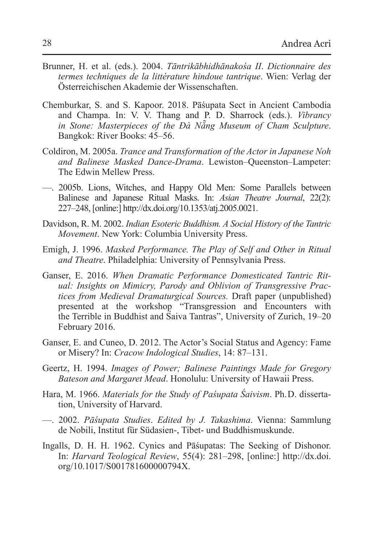- Brunner, H. et al. (eds.). 2004. *Tāntrikābhidhānakośa II*. *Dictionnaire des termes techniques de la littérature hindoue tantrique*. Wien: Verlag der Österreichischen Akademie der Wissenschaften.
- Chemburkar, S. and S. Kapoor. 2018. Pāśupata Sect in Ancient Cambodia and Champa. In: V. V. Thang and P. D. Sharrock (eds.). *Vibrancy in Stone: Masterpieces of the Đà Nẵng Museum of Cham Sculpture*. Bangkok: River Books: 45–56.
- Coldiron, M. 2005a. *Trance and Transformation of the Actor in Japanese Noh and Balinese Masked Dance-Drama*. Lewiston–Queenston–Lampeter: The Edwin Mellew Press.
- —. 2005b. Lions, Witches, and Happy Old Men: Some Parallels between Balinese and Japanese Ritual Masks. In: *Asian Theatre Journal*, 22(2): 227–248, [online:] http://dx.doi.org/10.1353/atj.2005.0021.
- Davidson, R. M. 2002. *Indian Esoteric Buddhism. A Social History of the Tantric Movement*. New York: Columbia University Press.
- Emigh, J. 1996. *Masked Performance. The Play of Self and Other in Ritual and Theatre*. Philadelphia: University of Pennsylvania Press.
- Ganser, E. 2016. *When Dramatic Performance Domesticated Tantric Ritual: Insights on Mimicry, Parody and Oblivion of Transgressive Practices from Medieval Dramaturgical Sources.* Draft paper (unpublished) presented at the workshop "Transgression and Encounters with the Terrible in Buddhist and Śaiva Tantras", University of Zurich, 19–20 February 2016.
- Ganser, E. and Cuneo, D. 2012. The Actor's Social Status and Agency: Fame or Misery? In: *Cracow Indological Studies*, 14: 87–131.
- Geertz, H. 1994. *Images of Power; Balinese Paintings Made for Gregory Bateson and Margaret Mead*. Honolulu: University of Hawaii Press.
- Hara, M. 1966. *Materials for the Study of Paśupata Śaivism*. Ph. D. dissertation, University of Harvard.
- —. 2002. *Pāśupata Studies*. *Edited by J. Takashima*. Vienna: Sammlung de Nobili, Institut für Südasien-, Tibet- und Buddhismuskunde.
- Ingalls, D. H. H. 1962. Cynics and Pāśupatas: The Seeking of Dishonor. In: *Harvard Teological Review*, 55(4): 281–298, [online:] http://dx.doi. org/10.1017/S001781600000794X.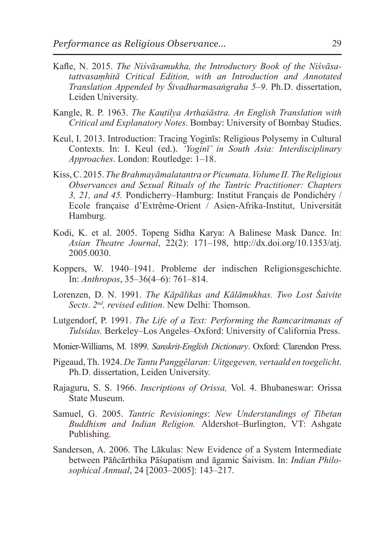- Kafle, N. 2015. *The Niśvāsamukha, the Introductory Book of the Niśvāsatattvasaṃhitā Critical Edition, with an Introduction and Annotated Translation Appended by Śivadharmasaṅgraha 5–9*. Ph. D. dissertation, Leiden University.
- Kangle, R. P. 1963. *The Kauṭilya Arthaśāstra. An English Translation with Critical and Explanatory Notes*. Bombay: University of Bombay Studies.
- Keul, I. 2013. Introduction: Tracing Yoginīs: Religious Polysemy in Cultural Contexts. In: I. Keul (ed.). *'Yoginī' in South Asia: Interdisciplinary Approaches*. London: Routledge: 1–18.
- Kiss, C. 2015. *The Brahmayāmalatantra orPicumata. Volume II. The Religious Observances and Sexual Rituals of the Tantric Practitioner: Chapters 3, 21, and 45.* Pondicherry–Hamburg: Institut Français de Pondichéry / Ecole française d'Extrême-Orient / Asien-Afrika-Institut, Universität Hamburg.
- Kodi, K. et al. 2005. Topeng Sidha Karya: A Balinese Mask Dance. In: *Asian Theatre Journal*, 22(2): 171–198, http://dx.doi.org/10.1353/atj. 2005.0030.
- Koppers, W. 1940–1941. Probleme der indischen Religionsgeschichte. In: *Anthropos*, 35–36(4–6): 761–814.
- Lorenzen, D. N. 1991. *The Kāpālikas and Kālāmukhas. Two Lost Śaivite Sects*. *2nd, revised edition*. New Delhi: Thomson.
- Lutgendorf, P. 1991. *The Life of a Text: Performing the Ramcaritmanas of Tulsidas.* Berkeley–Los Angeles–Oxford: University of California Press.
- Monier-Williams, M. 1899. *Sanskrit-English Dictionary*. Oxford: Clarendon Press.
- Pigeaud, Th. 1924. *De Tantu Panggĕlaran: Uitgegeven, vertaald en toegelicht*. Ph. D. dissertation, Leiden University.
- Rajaguru, S. S. 1966. *Inscriptions of Orissa,* Vol. 4. Bhubaneswar: Orissa State Museum.
- Samuel, G. 2005. *Tantric Revisionings*: *New Understandings of Tibetan Buddhism and Indian Religion.* Aldershot–Burlington, VT: Ashgate Publishing.
- Sanderson, A. 2006. The Lākulas: New Evidence of a System Intermediate between Pāñcārthika Pāśupatism and āgamic Śaivism. In: *Indian Philosophical Annual*, 24 [2003–2005]: 143–217.